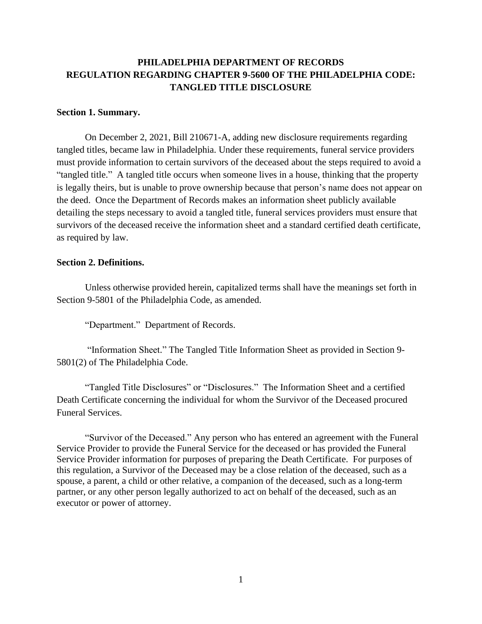# **PHILADELPHIA DEPARTMENT OF RECORDS REGULATION REGARDING CHAPTER 9-5600 OF THE PHILADELPHIA CODE: TANGLED TITLE DISCLOSURE**

#### **Section 1. Summary.**

On December 2, 2021, Bill 210671-A, adding new disclosure requirements regarding tangled titles, became law in Philadelphia. Under these requirements, funeral service providers must provide information to certain survivors of the deceased about the steps required to avoid a "tangled title." A tangled title occurs when someone lives in a house, thinking that the property is legally theirs, but is unable to prove ownership because that person's name does not appear on the deed. Once the Department of Records makes an information sheet publicly available detailing the steps necessary to avoid a tangled title, funeral services providers must ensure that survivors of the deceased receive the information sheet and a standard certified death certificate, as required by law.

#### **Section 2. Definitions.**

Unless otherwise provided herein, capitalized terms shall have the meanings set forth in Section 9-5801 of the Philadelphia Code, as amended.

"Department." Department of Records.

"Information Sheet." The Tangled Title Information Sheet as provided in Section 9- 5801(2) of The Philadelphia Code.

"Tangled Title Disclosures" or "Disclosures." The Information Sheet and a certified Death Certificate concerning the individual for whom the Survivor of the Deceased procured Funeral Services.

"Survivor of the Deceased." Any person who has entered an agreement with the Funeral Service Provider to provide the Funeral Service for the deceased or has provided the Funeral Service Provider information for purposes of preparing the Death Certificate. For purposes of this regulation, a Survivor of the Deceased may be a close relation of the deceased, such as a spouse, a parent, a child or other relative, a companion of the deceased, such as a long-term partner, or any other person legally authorized to act on behalf of the deceased, such as an executor or power of attorney.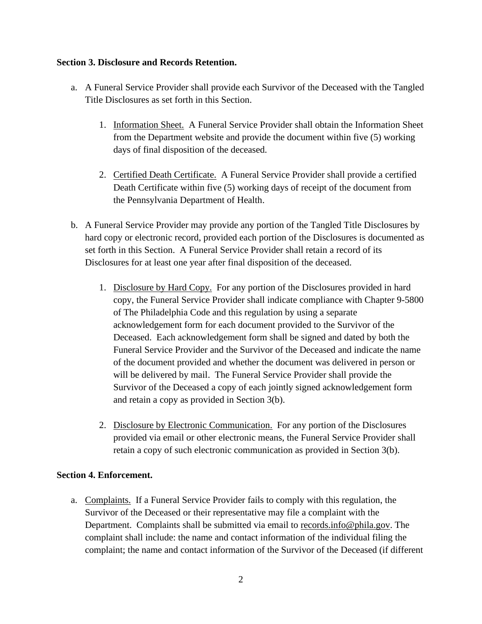### **Section 3. Disclosure and Records Retention.**

- a. A Funeral Service Provider shall provide each Survivor of the Deceased with the Tangled Title Disclosures as set forth in this Section.
	- 1. Information Sheet. A Funeral Service Provider shall obtain the Information Sheet from the Department website and provide the document within five (5) working days of final disposition of the deceased.
	- 2. Certified Death Certificate. A Funeral Service Provider shall provide a certified Death Certificate within five (5) working days of receipt of the document from the Pennsylvania Department of Health.
- b. A Funeral Service Provider may provide any portion of the Tangled Title Disclosures by hard copy or electronic record, provided each portion of the Disclosures is documented as set forth in this Section. A Funeral Service Provider shall retain a record of its Disclosures for at least one year after final disposition of the deceased.
	- 1. Disclosure by Hard Copy. For any portion of the Disclosures provided in hard copy, the Funeral Service Provider shall indicate compliance with Chapter 9-5800 of The Philadelphia Code and this regulation by using a separate acknowledgement form for each document provided to the Survivor of the Deceased. Each acknowledgement form shall be signed and dated by both the Funeral Service Provider and the Survivor of the Deceased and indicate the name of the document provided and whether the document was delivered in person or will be delivered by mail. The Funeral Service Provider shall provide the Survivor of the Deceased a copy of each jointly signed acknowledgement form and retain a copy as provided in Section 3(b).
	- 2. Disclosure by Electronic Communication. For any portion of the Disclosures provided via email or other electronic means, the Funeral Service Provider shall retain a copy of such electronic communication as provided in Section 3(b).

## **Section 4. Enforcement.**

a. Complaints. If a Funeral Service Provider fails to comply with this regulation, the Survivor of the Deceased or their representative may file a complaint with the Department. Complaints shall be submitted via email to [records.info@phila.gov.](mailto:records.info@phila.gov) The complaint shall include: the name and contact information of the individual filing the complaint; the name and contact information of the Survivor of the Deceased (if different